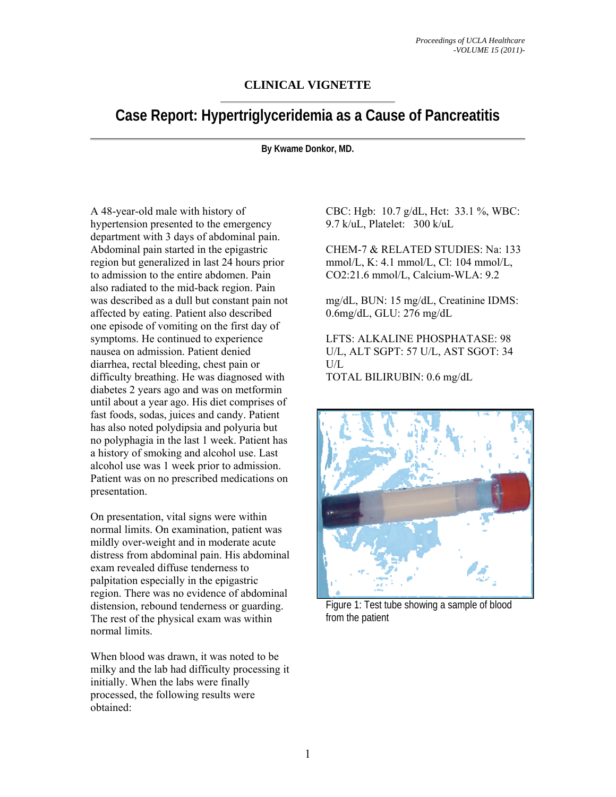## **CLINICAL VIGNETTE**

# **Case Report: Hypertriglyceridemia as a Cause of Pancreatitis**

**By Kwame Donkor, MD.** 

A 48-year-old male with history of hypertension presented to the emergency department with 3 days of abdominal pain. Abdominal pain started in the epigastric region but generalized in last 24 hours prior to admission to the entire abdomen. Pain also radiated to the mid-back region. Pain was described as a dull but constant pain not affected by eating. Patient also described one episode of vomiting on the first day of symptoms. He continued to experience nausea on admission. Patient denied diarrhea, rectal bleeding, chest pain or difficulty breathing. He was diagnosed with diabetes 2 years ago and was on metformin until about a year ago. His diet comprises of fast foods, sodas, juices and candy. Patient has also noted polydipsia and polyuria but no polyphagia in the last 1 week. Patient has a history of smoking and alcohol use. Last alcohol use was 1 week prior to admission. Patient was on no prescribed medications on presentation.

On presentation, vital signs were within normal limits. On examination, patient was mildly over-weight and in moderate acute distress from abdominal pain. His abdominal exam revealed diffuse tenderness to palpitation especially in the epigastric region. There was no evidence of abdominal distension, rebound tenderness or guarding. The rest of the physical exam was within normal limits.

When blood was drawn, it was noted to be milky and the lab had difficulty processing it initially. When the labs were finally processed, the following results were obtained:

CBC: Hgb: 10.7 g/dL, Hct: 33.1 %, WBC: 9.7 k/uL, Platelet: 300 k/uL

CHEM-7 & RELATED STUDIES: Na: 133 mmol/L, K: 4.1 mmol/L, Cl: 104 mmol/L, CO2:21.6 mmol/L, Calcium-WLA: 9.2

mg/dL, BUN: 15 mg/dL, Creatinine IDMS: 0.6mg/dL, GLU: 276 mg/dL

LFTS: ALKALINE PHOSPHATASE: 98 U/L, ALT SGPT: 57 U/L, AST SGOT: 34  $U/I$ .

TOTAL BILIRUBIN: 0.6 mg/dL



Figure 1: Test tube showing a sample of blood from the patient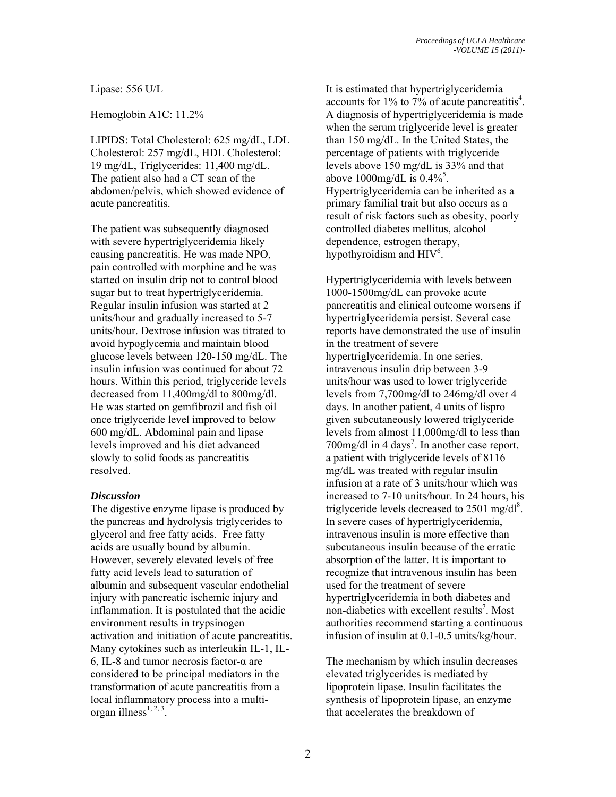Lipase: 556 U/L

Hemoglobin A1C: 11.2%

LIPIDS: Total Cholesterol: 625 mg/dL, LDL Cholesterol: 257 mg/dL, HDL Cholesterol: 19 mg/dL, Triglycerides: 11,400 mg/dL. The patient also had a CT scan of the abdomen/pelvis, which showed evidence of acute pancreatitis.

The patient was subsequently diagnosed with severe hypertriglyceridemia likely causing pancreatitis. He was made NPO, pain controlled with morphine and he was started on insulin drip not to control blood sugar but to treat hypertriglyceridemia. Regular insulin infusion was started at 2 units/hour and gradually increased to 5-7 units/hour. Dextrose infusion was titrated to avoid hypoglycemia and maintain blood glucose levels between 120-150 mg/dL. The insulin infusion was continued for about 72 hours. Within this period, triglyceride levels decreased from 11,400mg/dl to 800mg/dl. He was started on gemfibrozil and fish oil once triglyceride level improved to below 600 mg/dL. Abdominal pain and lipase levels improved and his diet advanced slowly to solid foods as pancreatitis resolved.

## *Discussion*

The digestive enzyme lipase is produced by the pancreas and hydrolysis triglycerides to glycerol and free fatty acids. Free fatty acids are usually bound by albumin. However, severely elevated levels of free fatty acid levels lead to saturation of albumin and subsequent vascular endothelial injury with pancreatic ischemic injury and inflammation. It is postulated that the acidic environment results in trypsinogen activation and initiation of acute pancreatitis. Many cytokines such as interleukin IL-1, IL-6, IL-8 and tumor necrosis factor-α are considered to be principal mediators in the transformation of acute pancreatitis from a local inflammatory process into a multiorgan illness $^{1, 2, 3}$ .

It is estimated that hypertriglyceridemia accounts for 1% to 7% of acute pancreatitis<sup>4</sup>. A diagnosis of hypertriglyceridemia is made when the serum triglyceride level is greater than 150 mg/dL. In the United States, the percentage of patients with triglyceride levels above 150 mg/dL is 33% and that above  $1000$ mg/dL is  $0.4\%$ <sup>5</sup>. Hypertriglyceridemia can be inherited as a primary familial trait but also occurs as a result of risk factors such as obesity, poorly controlled diabetes mellitus, alcohol dependence, estrogen therapy, hypothyroidism and HIV<sup>6</sup>.

Hypertriglyceridemia with levels between 1000-1500mg/dL can provoke acute pancreatitis and clinical outcome worsens if hypertriglyceridemia persist. Several case reports have demonstrated the use of insulin in the treatment of severe hypertriglyceridemia. In one series, intravenous insulin drip between 3-9 units/hour was used to lower triglyceride levels from 7,700mg/dl to 246mg/dl over 4 days. In another patient, 4 units of lispro given subcutaneously lowered triglyceride levels from almost 11,000mg/dl to less than  $700$ mg/dl in 4 days<sup>7</sup>. In another case report, a patient with triglyceride levels of 8116 mg/dL was treated with regular insulin infusion at a rate of 3 units/hour which was increased to 7-10 units/hour. In 24 hours, his triglyceride levels decreased to  $2501 \text{ mg/dl}^8$ . In severe cases of hypertriglyceridemia, intravenous insulin is more effective than subcutaneous insulin because of the erratic absorption of the latter. It is important to recognize that intravenous insulin has been used for the treatment of severe hypertriglyceridemia in both diabetes and non-diabetics with excellent results<sup>7</sup>. Most authorities recommend starting a continuous infusion of insulin at 0.1-0.5 units/kg/hour.

The mechanism by which insulin decreases elevated triglycerides is mediated by lipoprotein lipase. Insulin facilitates the synthesis of lipoprotein lipase, an enzyme that accelerates the breakdown of